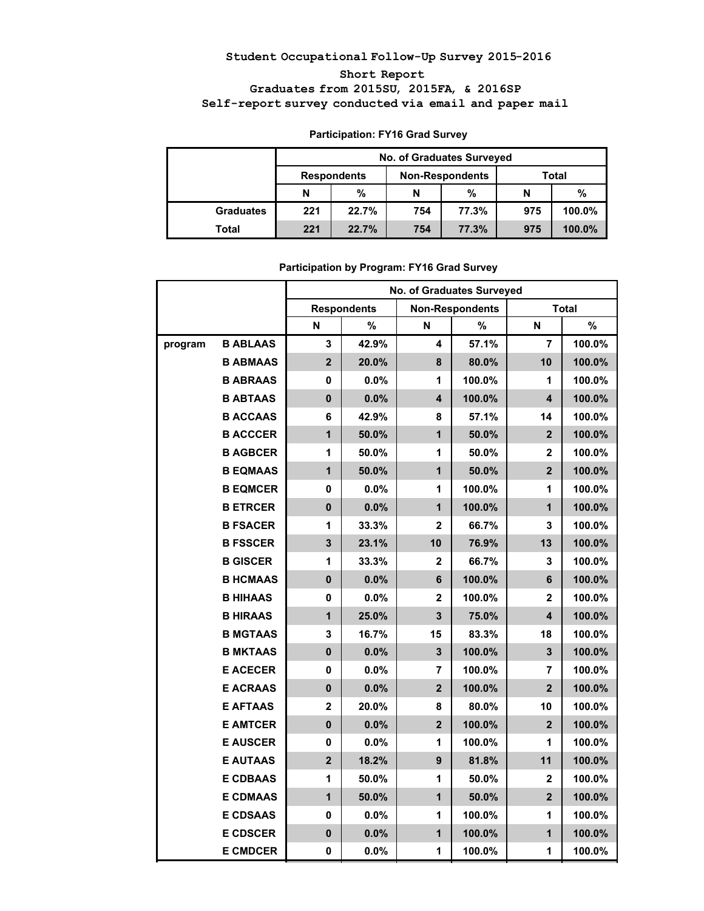# **Student Occupational Follow-Up Survey 2015-2016 Short Report Graduates from 2015SU, 2015FA, & 2016SP Self-report survey conducted via email and paper mail**

|                  |                    | <b>No. of Graduates Surveyed</b> |     |                        |              |        |  |  |  |  |
|------------------|--------------------|----------------------------------|-----|------------------------|--------------|--------|--|--|--|--|
|                  | <b>Respondents</b> |                                  |     | <b>Non-Respondents</b> | <b>Total</b> |        |  |  |  |  |
|                  | N                  | %                                | N   | %                      | N            | %      |  |  |  |  |
| <b>Graduates</b> | 221                | 22.7%                            | 754 | 77.3%                  | 975          | 100.0% |  |  |  |  |
| Total            | 221                | 22.7%                            | 754 | 77.3%                  | 975          | 100.0% |  |  |  |  |

# **Participation: FY16 Grad Survey**

|         |                 |                         |                    | No. of Graduates Surveyed |                        |                         |              |
|---------|-----------------|-------------------------|--------------------|---------------------------|------------------------|-------------------------|--------------|
|         |                 |                         | <b>Respondents</b> |                           | <b>Non-Respondents</b> |                         | <b>Total</b> |
|         |                 | N                       | %                  | N                         | %                      | N                       | $\%$         |
| program | <b>B ABLAAS</b> | $\mathbf{3}$            | 42.9%              | 4                         | 57.1%                  | $\overline{7}$          | 100.0%       |
|         | <b>B ABMAAS</b> | 2 <sup>1</sup>          | 20.0%              | 8                         | 80.0%                  | 10                      | 100.0%       |
|         | <b>B ABRAAS</b> | 0                       | 0.0%               | 1                         | 100.0%                 | 1                       | 100.0%       |
|         | <b>B ABTAAS</b> | $\mathbf{0}$            | 0.0%               | 4                         | 100.0%                 | $\overline{\mathbf{4}}$ | 100.0%       |
|         | <b>B ACCAAS</b> | 6                       | 42.9%              | 8                         | 57.1%                  | 14                      | 100.0%       |
|         | <b>B ACCCER</b> | $\mathbf{1}$            | 50.0%              | $\mathbf{1}$              | 50.0%                  | $\overline{2}$          | 100.0%       |
|         | <b>B AGBCER</b> | 1                       | 50.0%              | 1                         | 50.0%                  | $\overline{2}$          | 100.0%       |
|         | <b>B EQMAAS</b> | $\overline{1}$          | 50.0%              | $\overline{1}$            | 50.0%                  | $\overline{2}$          | 100.0%       |
|         | <b>B EQMCER</b> | 0                       | 0.0%               | 1                         | 100.0%                 | 1                       | 100.0%       |
|         | <b>B ETRCER</b> | $\mathbf{0}$            | 0.0%               | $\mathbf{1}$              | 100.0%                 | $\mathbf{1}$            | 100.0%       |
|         | <b>B FSACER</b> | 1                       | 33.3%              | $\overline{\mathbf{2}}$   | 66.7%                  | 3                       | 100.0%       |
|         | <b>B FSSCER</b> | $\overline{\mathbf{3}}$ | 23.1%              | 10                        | 76.9%                  | 13                      | 100.0%       |
|         | <b>B GISCER</b> | 1                       | 33.3%              | $\overline{2}$            | 66.7%                  | 3                       | 100.0%       |
|         | <b>B HCMAAS</b> | $\mathbf{0}$            | 0.0%               | 6                         | 100.0%                 | 6                       | 100.0%       |
|         | <b>B HIHAAS</b> | 0                       | $0.0\%$            | $\mathbf{2}$              | 100.0%                 | $\overline{2}$          | 100.0%       |
|         | <b>B HIRAAS</b> | $\mathbf{1}$            | 25.0%              | $\overline{\mathbf{3}}$   | 75.0%                  | $\overline{\mathbf{4}}$ | 100.0%       |
|         | <b>B MGTAAS</b> | 3                       | 16.7%              | 15                        | 83.3%                  | 18                      | 100.0%       |
|         | <b>B MKTAAS</b> | $\mathbf{0}$            | $0.0\%$            | 3                         | 100.0%                 | 3                       | 100.0%       |
|         | <b>E ACECER</b> | 0                       | 0.0%               | 7                         | 100.0%                 | $\overline{7}$          | 100.0%       |
|         | <b>E ACRAAS</b> | $\mathbf 0$             | 0.0%               | $\overline{2}$            | 100.0%                 | $\overline{2}$          | 100.0%       |
|         | <b>E AFTAAS</b> | $\overline{2}$          | 20.0%              | 8                         | 80.0%                  | 10                      | 100.0%       |
|         | <b>E AMTCER</b> | $\mathbf{0}$            | 0.0%               | $\overline{2}$            | 100.0%                 | $\overline{2}$          | 100.0%       |
|         | <b>E AUSCER</b> | 0                       | 0.0%               | 1                         | 100.0%                 | 1                       | 100.0%       |
|         | <b>E AUTAAS</b> | $\overline{2}$          | 18.2%              | 9                         | 81.8%                  | 11                      | 100.0%       |
|         | <b>E CDBAAS</b> | 1                       | 50.0%              | 1                         | 50.0%                  | $\overline{2}$          | 100.0%       |
|         | <b>E CDMAAS</b> | $\overline{1}$          | 50.0%              | $\overline{1}$            | 50.0%                  | $\overline{2}$          | 100.0%       |
|         | <b>E CDSAAS</b> | 0                       | $0.0\%$            | 1                         | 100.0%                 | 1                       | 100.0%       |
|         | <b>E CDSCER</b> | $\mathbf 0$             | 0.0%               | $\overline{1}$            | 100.0%                 | $\overline{1}$          | 100.0%       |
|         | <b>E CMDCER</b> | 0                       | 0.0%               | 1                         | 100.0%                 | 1                       | 100.0%       |

### **Participation by Program: FY16 Grad Survey**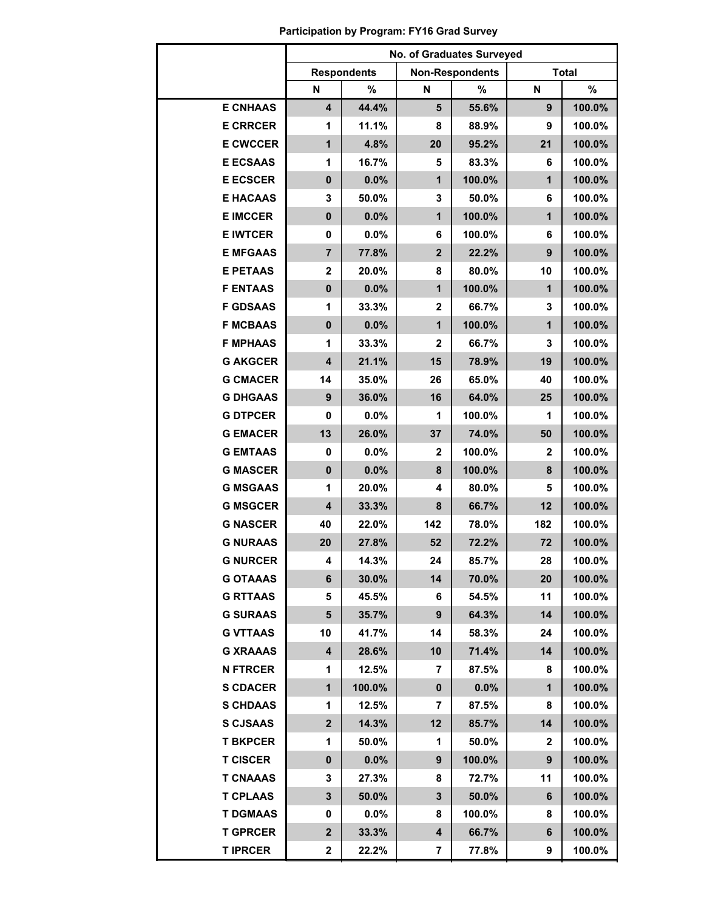|                 | No. of Graduates Surveyed |                    |                |                        |                |              |  |  |  |  |
|-----------------|---------------------------|--------------------|----------------|------------------------|----------------|--------------|--|--|--|--|
|                 |                           | <b>Respondents</b> |                | <b>Non-Respondents</b> |                | <b>Total</b> |  |  |  |  |
|                 | N                         | %                  | N              | $\%$                   | N              | %            |  |  |  |  |
| <b>E CNHAAS</b> | $\overline{\mathbf{4}}$   | 44.4%              | 5              | 55.6%                  | 9              | 100.0%       |  |  |  |  |
| <b>E CRRCER</b> | 1                         | 11.1%              | 8              | 88.9%                  | 9              | 100.0%       |  |  |  |  |
| <b>E CWCCER</b> | $\mathbf{1}$              | 4.8%               | 20             | 95.2%                  | 21             | 100.0%       |  |  |  |  |
| <b>E ECSAAS</b> | 1                         | 16.7%              | 5              | 83.3%                  | 6              | 100.0%       |  |  |  |  |
| <b>E ECSCER</b> | $\mathbf 0$               | 0.0%               | $\mathbf{1}$   | 100.0%                 | $\overline{1}$ | 100.0%       |  |  |  |  |
| <b>E HACAAS</b> | 3                         | 50.0%              | 3              | 50.0%                  | 6              | 100.0%       |  |  |  |  |
| <b>E IMCCER</b> | $\mathbf 0$               | 0.0%               | $\mathbf{1}$   | 100.0%                 | $\overline{1}$ | 100.0%       |  |  |  |  |
| <b>E IWTCER</b> | $\mathbf 0$               | 0.0%               | 6              | 100.0%                 | 6              | 100.0%       |  |  |  |  |
| <b>E MFGAAS</b> | $\overline{7}$            | 77.8%              | $\overline{2}$ | 22.2%                  | 9              | 100.0%       |  |  |  |  |
| <b>E PETAAS</b> | $\mathbf 2$               | 20.0%              | 8              | 80.0%                  | 10             | 100.0%       |  |  |  |  |
| <b>F ENTAAS</b> | $\mathbf 0$               | 0.0%               | $\mathbf{1}$   | 100.0%                 | $\mathbf{1}$   | 100.0%       |  |  |  |  |
| <b>F GDSAAS</b> | 1                         | 33.3%              | $\mathbf 2$    | 66.7%                  | $\mathbf 3$    | 100.0%       |  |  |  |  |
| <b>F MCBAAS</b> | $\mathbf 0$               | 0.0%               | $\mathbf{1}$   | 100.0%                 | $\overline{1}$ | 100.0%       |  |  |  |  |
| <b>F MPHAAS</b> | 1                         | 33.3%              | $\overline{2}$ | 66.7%                  | 3              | 100.0%       |  |  |  |  |
| <b>G AKGCER</b> | $\overline{\mathbf{4}}$   | 21.1%              | 15             | 78.9%                  | 19             | 100.0%       |  |  |  |  |
| <b>G CMACER</b> | 14                        | 35.0%              | 26             | 65.0%                  | 40             | 100.0%       |  |  |  |  |
| <b>G DHGAAS</b> | 9                         | 36.0%              | 16             | 64.0%                  | 25             | 100.0%       |  |  |  |  |
| <b>G DTPCER</b> | 0                         | 0.0%               | 1              | 100.0%                 | 1              | 100.0%       |  |  |  |  |
| <b>G EMACER</b> | 13                        | 26.0%              | 37             | 74.0%                  | 50             | 100.0%       |  |  |  |  |
| <b>G EMTAAS</b> | 0                         | 0.0%               | $\overline{2}$ | 100.0%                 | $\mathbf{2}$   | 100.0%       |  |  |  |  |
| <b>G MASCER</b> | $\mathbf 0$               | 0.0%               | 8              | 100.0%                 | 8              | 100.0%       |  |  |  |  |
| <b>G MSGAAS</b> | 1                         | 20.0%              | 4              | 80.0%                  | 5<br>12        | 100.0%       |  |  |  |  |
| <b>G MSGCER</b> | $\overline{\mathbf{4}}$   | 33.3%              | 8              | 66.7%                  |                | 100.0%       |  |  |  |  |
| <b>G NASCER</b> | 40                        | 22.0%              | 142            | 78.0%                  | 182            | 100.0%       |  |  |  |  |
| <b>G NURAAS</b> | 20                        | 27.8%              | 52             | 72.2%                  | 72             | 100.0%       |  |  |  |  |
| <b>G NURCER</b> | 4                         | 14.3%              | 24             | 85.7%                  | 28             | 100.0%       |  |  |  |  |
| <b>G OTAAAS</b> | 6                         | 30.0%              | 14             | 70.0%                  | 20             | 100.0%       |  |  |  |  |
| <b>G RTTAAS</b> | 5                         | 45.5%              | 6              | 54.5%                  | 11             | 100.0%       |  |  |  |  |
| <b>G SURAAS</b> | 5                         | 35.7%              | 9              | 64.3%                  | 14             | 100.0%       |  |  |  |  |
| <b>G VTTAAS</b> | 10                        | 41.7%              | 14             | 58.3%                  | 24             | 100.0%       |  |  |  |  |
| <b>G XRAAAS</b> | 4                         | 28.6%              | 10             | 71.4%                  | 14             | 100.0%       |  |  |  |  |
| <b>N FTRCER</b> | 1                         | 12.5%              | 7              | 87.5%                  | 8              | 100.0%       |  |  |  |  |
| <b>S CDACER</b> | 1                         | 100.0%             | $\bf{0}$       | 0.0%                   | 1              | 100.0%       |  |  |  |  |
| <b>S CHDAAS</b> | 1                         | 12.5%              | 7              | 87.5%                  | 8              | 100.0%       |  |  |  |  |
| <b>S CJSAAS</b> | $\mathbf{2}$              | 14.3%              | 12             | 85.7%                  | 14             | 100.0%       |  |  |  |  |
| <b>T BKPCER</b> | 1                         | 50.0%              | 1              | 50.0%                  | 2              | 100.0%       |  |  |  |  |
| <b>T CISCER</b> | 0                         | $0.0\%$            | 9              | 100.0%                 | 9              | 100.0%       |  |  |  |  |
| <b>T CNAAAS</b> | 3                         | 27.3%              | 8              | 72.7%                  | 11             | 100.0%       |  |  |  |  |
| <b>T CPLAAS</b> | 3                         | 50.0%              | 3              | 50.0%                  | 6              | 100.0%       |  |  |  |  |
| <b>T DGMAAS</b> | 0                         | $0.0\%$            | 8              | 100.0%                 | 8              | 100.0%       |  |  |  |  |
| <b>T GPRCER</b> | $\mathbf 2$               | 33.3%              | 4              | 66.7%                  | 6              | 100.0%       |  |  |  |  |
| <b>TIPRCER</b>  | 2                         | 22.2%              | 7              | 77.8%                  | 9              | 100.0%       |  |  |  |  |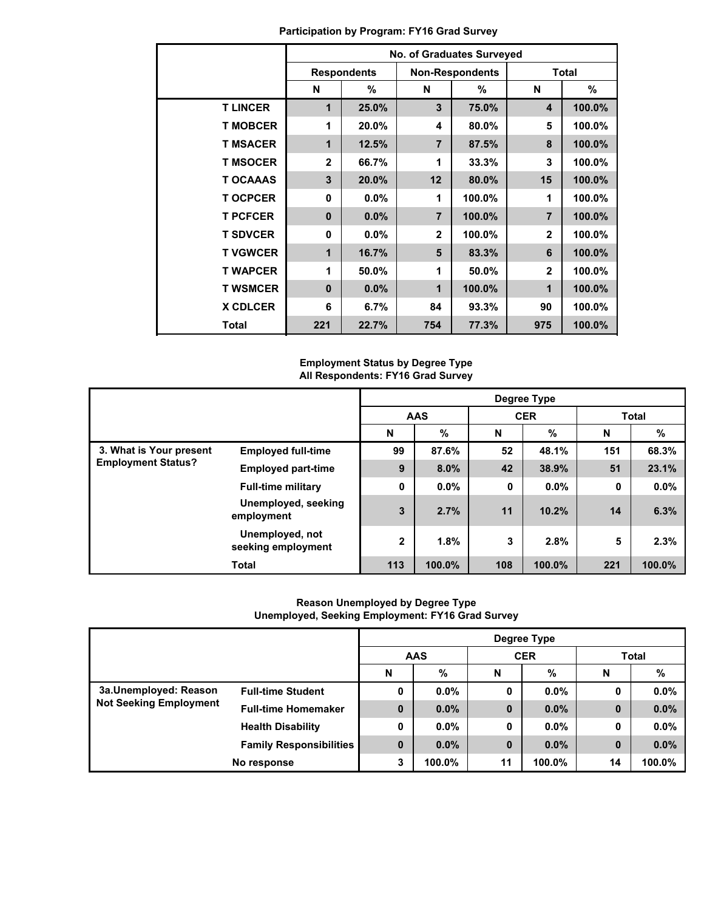|                 |              |                    | No. of Graduates Surveyed |                        |                |        |  |
|-----------------|--------------|--------------------|---------------------------|------------------------|----------------|--------|--|
|                 |              | <b>Respondents</b> |                           | <b>Non-Respondents</b> | <b>Total</b>   |        |  |
|                 | N            | %                  | N                         | %                      | N              | %      |  |
| <b>TLINCER</b>  | 1            | 25.0%              | 3                         | 75.0%                  | 4              | 100.0% |  |
| <b>T MOBCER</b> | 1            | 20.0%              | 4                         | 80.0%                  | 5              | 100.0% |  |
| <b>T MSACER</b> | 1            | 12.5%              | $\overline{7}$            | 87.5%                  | 8              | 100.0% |  |
| <b>T MSOCER</b> | $\mathbf{2}$ | 66.7%              | 1                         | 33.3%                  | 3              | 100.0% |  |
| <b>T OCAAAS</b> | 3            | 20.0%              | 12                        | 80.0%                  | 15             | 100.0% |  |
| <b>TOCPCER</b>  | $\bf{0}$     | $0.0\%$            | 1                         | 100.0%                 | 1              | 100.0% |  |
| <b>T PCFCER</b> | $\bf{0}$     | $0.0\%$            | $\overline{7}$            | 100.0%                 | $\overline{7}$ | 100.0% |  |
| <b>T SDVCER</b> | $\Omega$     | $0.0\%$            | $\mathbf{2}$              | 100.0%                 | $\mathbf{2}$   | 100.0% |  |
| <b>T VGWCER</b> | 1            | 16.7%              | 5                         | 83.3%                  | 6              | 100.0% |  |
| <b>T WAPCER</b> | 1            | 50.0%              | 1                         | 50.0%                  | $\mathbf{2}$   | 100.0% |  |
| <b>T WSMCER</b> | $\bf{0}$     | 0.0%               | 1                         | 100.0%                 | 1              | 100.0% |  |
| <b>X CDLCER</b> | 6            | 6.7%               | 84                        | 93.3%                  | 90             | 100.0% |  |
| <b>Total</b>    | 221          | 22.7%              | 754                       | 77.3%                  | 975            | 100.0% |  |

**Participation by Program: FY16 Grad Survey**

### **Employment Status by Degree Type All Respondents: FY16 Grad Survey**

|                           | Degree Type                           |              |            |     |            |              |         |  |
|---------------------------|---------------------------------------|--------------|------------|-----|------------|--------------|---------|--|
|                           |                                       |              | <b>AAS</b> |     | <b>CER</b> | <b>Total</b> |         |  |
|                           |                                       | N            | %          | N   | %          | N            | %       |  |
| 3. What is Your present   | <b>Employed full-time</b>             | 99           | 87.6%      | 52  | 48.1%      | 151          | 68.3%   |  |
| <b>Employment Status?</b> | <b>Employed part-time</b>             | 9            | 8.0%       | 42  | 38.9%      | 51           | 23.1%   |  |
|                           | <b>Full-time military</b>             | 0            | $0.0\%$    | 0   | $0.0\%$    | 0            | $0.0\%$ |  |
|                           | Unemployed, seeking<br>employment     | 3            | 2.7%       | 11  | 10.2%      | 14           | 6.3%    |  |
|                           | Unemployed, not<br>seeking employment | $\mathbf{2}$ | 1.8%       | 3   | 2.8%       | 5            | 2.3%    |  |
|                           | <b>Total</b>                          | 113          | 100.0%     | 108 | 100.0%     | 221          | 100.0%  |  |

## **Reason Unemployed by Degree Type Unemployed, Seeking Employment: FY16 Grad Survey**

|                                                        |                                | Degree Type |            |          |            |              |         |  |  |  |
|--------------------------------------------------------|--------------------------------|-------------|------------|----------|------------|--------------|---------|--|--|--|
|                                                        |                                |             | <b>AAS</b> |          | <b>CER</b> | <b>Total</b> |         |  |  |  |
|                                                        |                                | N           | %          | N        | $\%$       | N            | %       |  |  |  |
| 3a.Unemployed: Reason<br><b>Not Seeking Employment</b> | <b>Full-time Student</b>       | 0           | $0.0\%$    | 0        | $0.0\%$    | 0            | $0.0\%$ |  |  |  |
|                                                        | <b>Full-time Homemaker</b>     | $\bf{0}$    | $0.0\%$    | $\bf{0}$ | $0.0\%$    | 0            | 0.0%    |  |  |  |
|                                                        | <b>Health Disability</b>       | 0           | $0.0\%$    | 0        | $0.0\%$    | 0            | $0.0\%$ |  |  |  |
|                                                        | <b>Family Responsibilities</b> | $\bf{0}$    | $0.0\%$    | $\bf{0}$ | $0.0\%$    | $\bf{0}$     | 0.0%    |  |  |  |
|                                                        | No response                    | 3           | 100.0%     | 11       | 100.0%     | 14           | 100.0%  |  |  |  |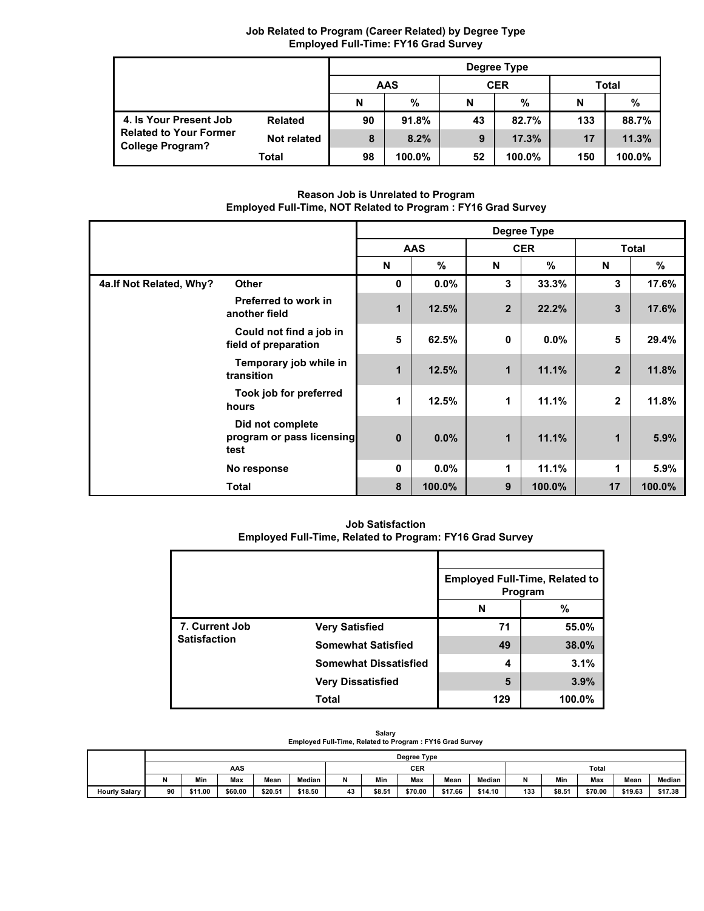|                                                                                    |                | Degree Type |               |    |            |       |        |  |  |  |
|------------------------------------------------------------------------------------|----------------|-------------|---------------|----|------------|-------|--------|--|--|--|
|                                                                                    |                |             | <b>AAS</b>    |    | <b>CER</b> | Total |        |  |  |  |
|                                                                                    |                | N           | $\frac{0}{0}$ | N  | %          | N     | %      |  |  |  |
| 4. Is Your Present Job<br><b>Related to Your Former</b><br><b>College Program?</b> | <b>Related</b> | 90          | 91.8%         | 43 | 82.7%      | 133   | 88.7%  |  |  |  |
|                                                                                    | Not related    | 8           | 8.2%          | 9  | 17.3%      | 17    | 11.3%  |  |  |  |
|                                                                                    | Total          | 98          | 100.0%        | 52 | 100.0%     | 150   | 100.0% |  |  |  |

## **Job Related to Program (Career Related) by Degree Type Employed Full-Time: FY16 Grad Survey**

**Reason Job is Unrelated to Program Employed Full-Time, NOT Related to Program : FY16 Grad Survey**

|                          |                                                                                                                                                                                     |          |               |                | Degree Type |                         |        |  |
|--------------------------|-------------------------------------------------------------------------------------------------------------------------------------------------------------------------------------|----------|---------------|----------------|-------------|-------------------------|--------|--|
|                          |                                                                                                                                                                                     |          | <b>AAS</b>    |                | <b>CER</b>  | <b>Total</b>            |        |  |
|                          | <b>Other</b><br>Preferred to work in<br>another field<br>Could not find a job in<br>field of preparation<br>Temporary job while in<br>transition<br>Took job for preferred<br>hours | N        | $\frac{9}{6}$ | N              | $\%$        | N                       | %      |  |
| 4a. If Not Related, Why? |                                                                                                                                                                                     | 0        | $0.0\%$       | 3              | 33.3%       | 3                       | 17.6%  |  |
|                          |                                                                                                                                                                                     | 1        | 12.5%         | $\overline{2}$ | 22.2%       | $\overline{\mathbf{3}}$ | 17.6%  |  |
|                          |                                                                                                                                                                                     | 5        | 62.5%         | 0              | $0.0\%$     | 5                       | 29.4%  |  |
|                          |                                                                                                                                                                                     | 1        | 12.5%         | 1              | 11.1%       | $\overline{2}$          | 11.8%  |  |
|                          |                                                                                                                                                                                     | 1        | 12.5%         | 1              | 11.1%       | $\mathbf{2}$            | 11.8%  |  |
|                          | Did not complete<br>program or pass licensing<br>test                                                                                                                               | $\bf{0}$ | 0.0%          | 1              | 11.1%       | 1                       | 5.9%   |  |
|                          | No response                                                                                                                                                                         | 0        | $0.0\%$       | 1              | 11.1%       | 1                       | 5.9%   |  |
|                          | <b>Total</b>                                                                                                                                                                        | 8        | 100.0%        | 9              | 100.0%      | 17                      | 100.0% |  |

**Job Satisfaction Employed Full-Time, Related to Program: FY16 Grad Survey**

|                     |                              | <b>Employed Full-Time, Related to</b><br>Program |        |  |  |  |
|---------------------|------------------------------|--------------------------------------------------|--------|--|--|--|
|                     |                              | N                                                | %      |  |  |  |
| 7. Current Job      | <b>Very Satisfied</b>        | 71                                               | 55.0%  |  |  |  |
| <b>Satisfaction</b> | <b>Somewhat Satisfied</b>    | 49                                               | 38.0%  |  |  |  |
|                     | <b>Somewhat Dissatisfied</b> | 4                                                | 3.1%   |  |  |  |
|                     | <b>Very Dissatisfied</b>     | 5                                                | 3.9%   |  |  |  |
|                     | <b>Total</b>                 | 129                                              | 100.0% |  |  |  |

| Salary                                                   |
|----------------------------------------------------------|
| Employed Full-Time, Related to Program: FY16 Grad Survey |

|                      |     | Degree Type |         |         |            |    |        |         |         |         |     |        |         |         |         |
|----------------------|-----|-------------|---------|---------|------------|----|--------|---------|---------|---------|-----|--------|---------|---------|---------|
|                      | AAS |             |         |         | <b>CER</b> |    |        |         | Total   |         |     |        |         |         |         |
|                      | N   | Min         | Max     | Mean    | Median     | N  | Min    | Max     | Mean    | Median  |     | Min    | Max     | Mean    | Median  |
| <b>Hourly Salary</b> | 90  | \$11.00     | \$60.00 | \$20.51 | \$18.50    | 43 | \$8.51 | \$70.00 | \$17.66 | \$14.10 | 133 | \$8.51 | \$70.00 | \$19.63 | \$17.38 |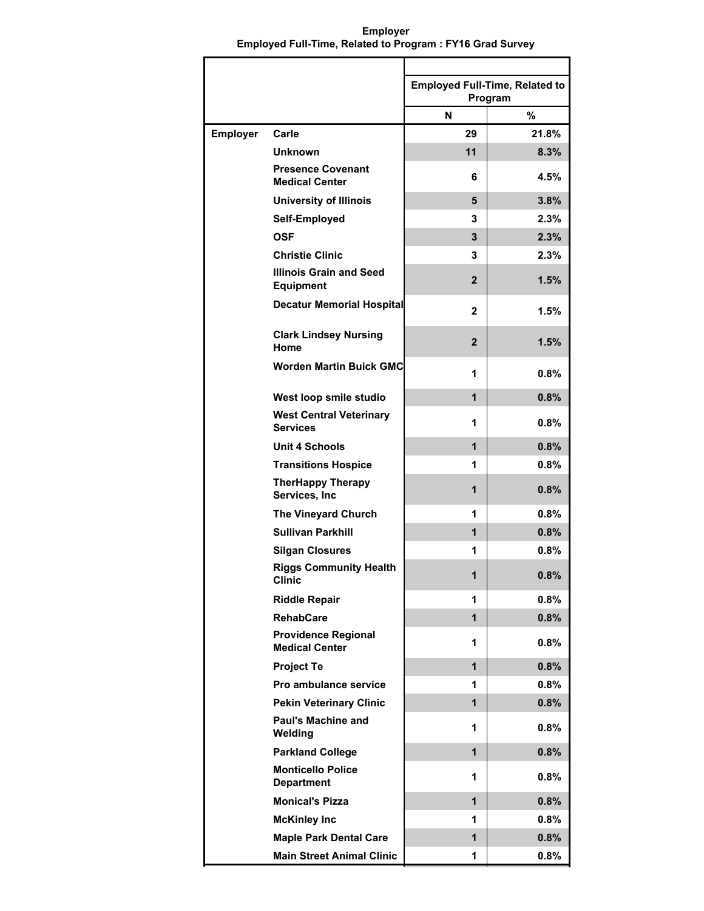**Employer Employed Full-Time, Related to Program : FY16 Grad Survey**

|                 |                                                     | <b>Employed Full-Time, Related to</b><br>Program |       |
|-----------------|-----------------------------------------------------|--------------------------------------------------|-------|
|                 |                                                     | N                                                | %     |
| <b>Employer</b> | Carle                                               | 29                                               | 21.8% |
|                 | <b>Unknown</b>                                      | 11                                               | 8.3%  |
|                 | <b>Presence Covenant</b><br><b>Medical Center</b>   | 6                                                | 4.5%  |
|                 | <b>University of Illinois</b>                       | 5                                                | 3.8%  |
|                 | Self-Employed                                       | 3                                                | 2.3%  |
|                 | <b>OSF</b>                                          | 3                                                | 2.3%  |
|                 | <b>Christie Clinic</b>                              | 3                                                | 2.3%  |
|                 | <b>Illinois Grain and Seed</b><br><b>Equipment</b>  | $\mathbf{2}$                                     | 1.5%  |
|                 | <b>Decatur Memorial Hospital</b>                    | 2                                                | 1.5%  |
|                 | <b>Clark Lindsey Nursing</b><br>Home                | $\mathbf{2}$                                     | 1.5%  |
|                 | <b>Worden Martin Buick GMC</b>                      | 1                                                | 0.8%  |
|                 | West loop smile studio                              | $\mathbf 1$                                      | 0.8%  |
|                 | <b>West Central Veterinary</b><br><b>Services</b>   | 1                                                | 0.8%  |
|                 | <b>Unit 4 Schools</b>                               | $\mathbf{1}$                                     | 0.8%  |
|                 | <b>Transitions Hospice</b>                          | 1                                                | 0.8%  |
|                 | <b>TherHappy Therapy</b><br>Services, Inc           | 1                                                | 0.8%  |
|                 | <b>The Vineyard Church</b>                          | 1                                                | 0.8%  |
|                 | <b>Sullivan Parkhill</b>                            | 1                                                | 0.8%  |
|                 | <b>Silgan Closures</b>                              | 1                                                | 0.8%  |
|                 | <b>Riggs Community Health</b><br>Clinic             | 1                                                | 0.8%  |
|                 | <b>Riddle Repair</b>                                | 1                                                | 0.8%  |
|                 | <b>RehabCare</b>                                    | 1                                                | 0.8%  |
|                 | <b>Providence Regional</b><br><b>Medical Center</b> | 1                                                | 0.8%  |
|                 | <b>Project Te</b>                                   | $\mathbf 1$                                      | 0.8%  |
|                 | Pro ambulance service                               | 1                                                | 0.8%  |
|                 | <b>Pekin Veterinary Clinic</b>                      | 1                                                | 0.8%  |
|                 | <b>Paul's Machine and</b><br>Welding                | 1                                                | 0.8%  |
|                 | <b>Parkland College</b>                             | 1                                                | 0.8%  |
|                 | <b>Monticello Police</b><br><b>Department</b>       | 1                                                | 0.8%  |
|                 | <b>Monical's Pizza</b>                              | 1                                                | 0.8%  |
|                 | <b>McKinley Inc</b>                                 | 1                                                | 0.8%  |
|                 | <b>Maple Park Dental Care</b>                       | 1                                                | 0.8%  |
|                 | <b>Main Street Animal Clinic</b>                    | 1                                                | 0.8%  |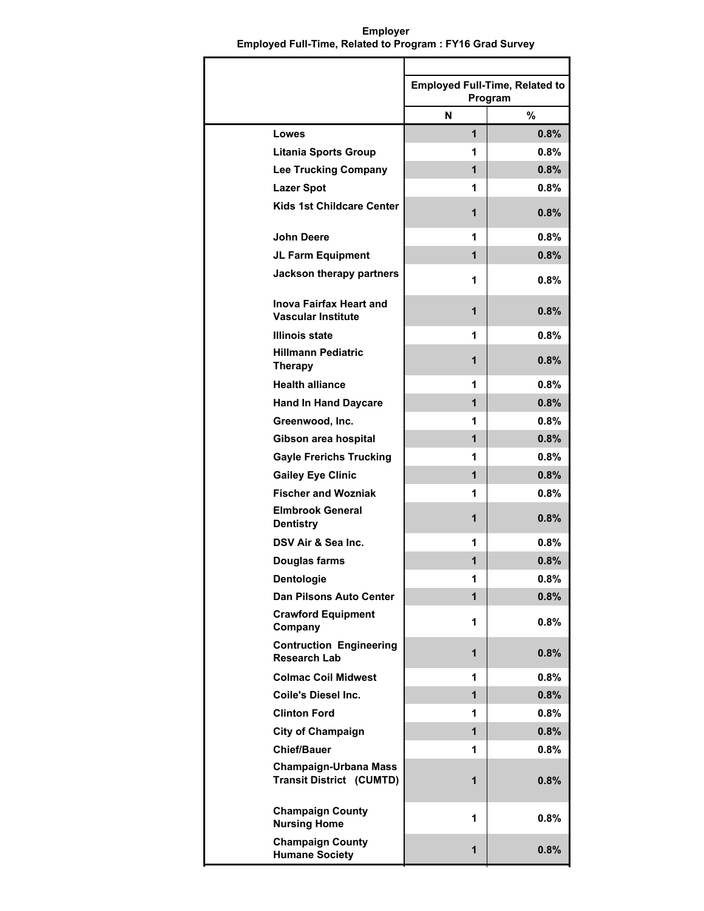**Employer Employed Full-Time, Related to Program : FY16 Grad Survey**

|                                                                 | <b>Employed Full-Time, Related to</b><br>Program |         |
|-----------------------------------------------------------------|--------------------------------------------------|---------|
|                                                                 | N                                                | $\%$    |
| Lowes                                                           | 1                                                | 0.8%    |
| <b>Litania Sports Group</b>                                     | 1                                                | 0.8%    |
| <b>Lee Trucking Company</b>                                     | $\mathbf{1}$                                     | 0.8%    |
| <b>Lazer Spot</b>                                               | 1                                                | 0.8%    |
| <b>Kids 1st Childcare Center</b>                                | 1                                                | 0.8%    |
| <b>John Deere</b>                                               | 1                                                | 0.8%    |
| JL Farm Equipment                                               | 1                                                | 0.8%    |
| Jackson therapy partners                                        | 1                                                | 0.8%    |
| <b>Inova Fairfax Heart and</b><br><b>Vascular Institute</b>     | 1                                                | 0.8%    |
| <b>Illinois state</b>                                           | 1                                                | 0.8%    |
| <b>Hillmann Pediatric</b><br><b>Therapy</b>                     | 1                                                | $0.8\%$ |
| <b>Health alliance</b>                                          | 1                                                | 0.8%    |
| <b>Hand In Hand Daycare</b>                                     | 1                                                | 0.8%    |
| Greenwood, Inc.                                                 | 1                                                | 0.8%    |
| Gibson area hospital                                            | $\mathbf{1}$                                     | 0.8%    |
| <b>Gayle Frerichs Trucking</b>                                  | 1                                                | 0.8%    |
| <b>Gailey Eye Clinic</b>                                        | 1                                                | 0.8%    |
| <b>Fischer and Wozniak</b>                                      | 1                                                | 0.8%    |
| <b>Elmbrook General</b><br><b>Dentistry</b>                     | 1                                                | 0.8%    |
| DSV Air & Sea Inc.                                              | 1                                                | 0.8%    |
| Douglas farms                                                   | 1                                                | 0.8%    |
| Dentologie                                                      |                                                  | 0.8%    |
| <b>Dan Pilsons Auto Center</b>                                  | 1                                                | 0.8%    |
| <b>Crawford Equipment</b><br>Company                            | 1                                                | 0.8%    |
| <b>Contruction Engineering</b><br><b>Research Lab</b>           | $\mathbf{1}$                                     | 0.8%    |
| <b>Colmac Coil Midwest</b>                                      | 1                                                | 0.8%    |
| <b>Coile's Diesel Inc.</b>                                      | $\mathbf{1}$                                     | 0.8%    |
| <b>Clinton Ford</b>                                             | 1                                                | 0.8%    |
| <b>City of Champaign</b>                                        | 1                                                | 0.8%    |
| <b>Chief/Bauer</b>                                              | 1                                                | 0.8%    |
| <b>Champaign-Urbana Mass</b><br><b>Transit District (CUMTD)</b> | 1                                                | 0.8%    |
| <b>Champaign County</b><br><b>Nursing Home</b>                  | 1                                                | 0.8%    |
| <b>Champaign County</b><br><b>Humane Society</b>                | 1                                                | 0.8%    |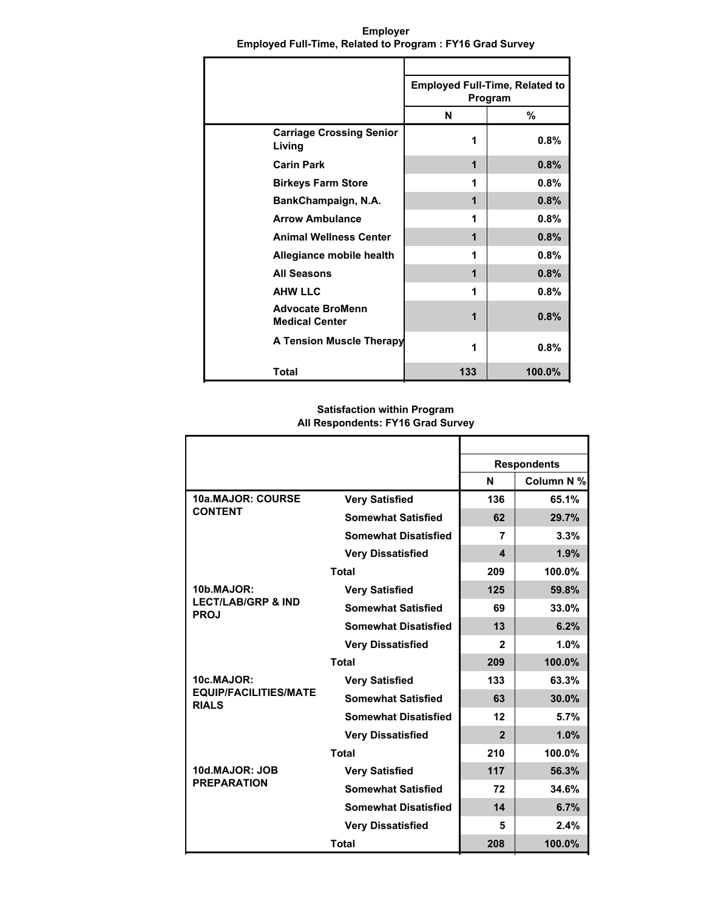|                                                  | <b>Employed Full-Time, Related to</b><br>Program |        |
|--------------------------------------------------|--------------------------------------------------|--------|
|                                                  | N                                                | %      |
| <b>Carriage Crossing Senior</b><br>Living        | 1                                                | 0.8%   |
| <b>Carin Park</b>                                | 1                                                | 0.8%   |
| <b>Birkeys Farm Store</b>                        | 1                                                | 0.8%   |
| BankChampaign, N.A.                              | 1                                                | 0.8%   |
| <b>Arrow Ambulance</b>                           | 1                                                | 0.8%   |
| <b>Animal Wellness Center</b>                    | 1                                                | 0.8%   |
| Allegiance mobile health                         | 1                                                | 0.8%   |
| <b>All Seasons</b>                               | 1                                                | 0.8%   |
| <b>AHW LLC</b>                                   | 1                                                | 0.8%   |
| <b>Advocate BroMenn</b><br><b>Medical Center</b> | 1                                                | 0.8%   |
| <b>A Tension Muscle Therapy</b>                  | 1                                                | 0.8%   |
| Total                                            | 133                                              | 100.0% |

**Employer Employed Full-Time, Related to Program : FY16 Grad Survey**

#### **Satisfaction within Program All Respondents: FY16 Grad Survey**

|                                              |                             | <b>Respondents</b> |            |
|----------------------------------------------|-----------------------------|--------------------|------------|
|                                              |                             | N                  | Column N % |
| 10a.MAJOR: COURSE                            | <b>Very Satisfied</b>       | 136                | 65.1%      |
| <b>CONTENT</b>                               | <b>Somewhat Satisfied</b>   | 62                 | 29.7%      |
|                                              | <b>Somewhat Disatisfied</b> | 7                  | 3.3%       |
|                                              | <b>Very Dissatisfied</b>    | 4                  | 1.9%       |
|                                              | <b>Total</b>                | 209                | 100.0%     |
| 10b.MAJOR:                                   | <b>Very Satisfied</b>       | 125                | 59.8%      |
| <b>LECT/LAB/GRP &amp; IND</b><br><b>PROJ</b> | <b>Somewhat Satisfied</b>   | 69                 | 33.0%      |
|                                              | <b>Somewhat Disatisfied</b> | 13                 | 6.2%       |
|                                              | <b>Very Dissatisfied</b>    | 2                  | 1.0%       |
|                                              | <b>Total</b>                | 209                | 100.0%     |
| 10c.MAJOR:                                   | <b>Very Satisfied</b>       | 133                | 63.3%      |
| <b>EQUIP/FACILITIES/MATE</b><br><b>RIALS</b> | <b>Somewhat Satisfied</b>   | 63                 | 30.0%      |
|                                              | <b>Somewhat Disatisfied</b> | 12                 | 5.7%       |
|                                              | <b>Very Dissatisfied</b>    | $\overline{2}$     | 1.0%       |
|                                              | <b>Total</b>                | 210                | 100.0%     |
| 10d.MAJOR: JOB                               | <b>Very Satisfied</b>       | 117                | 56.3%      |
| <b>PREPARATION</b>                           | <b>Somewhat Satisfied</b>   | 72                 | 34.6%      |
|                                              | <b>Somewhat Disatisfied</b> | 14                 | 6.7%       |
|                                              | <b>Very Dissatisfied</b>    | 5                  | 2.4%       |
|                                              | <b>Total</b>                | 208                | 100.0%     |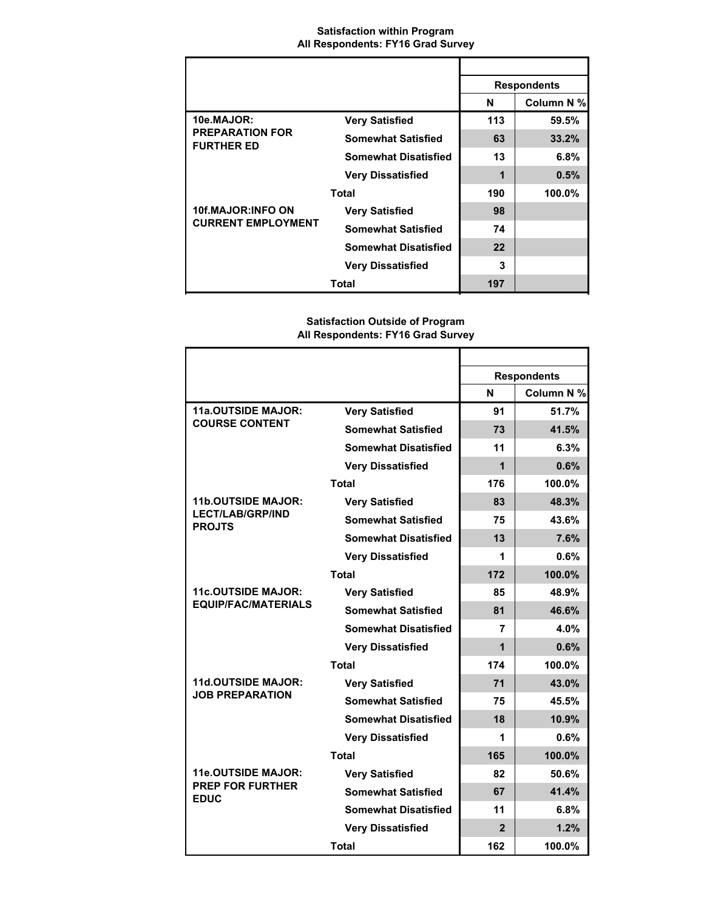### **Satisfaction within Program All Respondents: FY16 Grad Survey**

|                                                       |                             | <b>Respondents</b> |            |
|-------------------------------------------------------|-----------------------------|--------------------|------------|
|                                                       |                             | N                  | Column N % |
| 10e.MAJOR:                                            | <b>Very Satisfied</b>       | 113                | 59.5%      |
| <b>PREPARATION FOR</b><br><b>FURTHER ED</b>           | <b>Somewhat Satisfied</b>   | 63                 | 33.2%      |
|                                                       | <b>Somewhat Disatisfied</b> | 13                 | 6.8%       |
|                                                       | <b>Very Dissatisfied</b>    | 1                  | 0.5%       |
| <b>Total</b>                                          |                             | 190                | 100.0%     |
| <b>10f.MAJOR:INFO ON</b><br><b>CURRENT EMPLOYMENT</b> | <b>Very Satisfied</b>       | 98                 |            |
|                                                       | <b>Somewhat Satisfied</b>   | 74                 |            |
|                                                       | <b>Somewhat Disatisfied</b> | 22                 |            |
|                                                       | <b>Very Dissatisfied</b>    | 3                  |            |
|                                                       | Total                       | 197                |            |

# **Satisfaction Outside of Program All Respondents: FY16 Grad Survey**

|                                          |                             | <b>Respondents</b> |            |
|------------------------------------------|-----------------------------|--------------------|------------|
|                                          |                             | N                  | Column N % |
| <b>11a.OUTSIDE MAJOR:</b>                | <b>Very Satisfied</b>       | 91                 | 51.7%      |
| <b>COURSE CONTENT</b>                    | <b>Somewhat Satisfied</b>   | 73                 | 41.5%      |
|                                          | <b>Somewhat Disatisfied</b> | 11                 | 6.3%       |
|                                          | <b>Very Dissatisfied</b>    | 1                  | 0.6%       |
|                                          | <b>Total</b>                | 176                | 100.0%     |
| <b>11b.OUTSIDE MAJOR:</b>                | <b>Very Satisfied</b>       | 83                 | 48.3%      |
| <b>LECT/LAB/GRP/IND</b><br><b>PROJTS</b> | <b>Somewhat Satisfied</b>   | 75                 | 43.6%      |
|                                          | <b>Somewhat Disatisfied</b> | 13                 | 7.6%       |
|                                          | <b>Very Dissatisfied</b>    | 1                  | 0.6%       |
|                                          | <b>Total</b>                | 172                | 100.0%     |
| <b>11c.OUTSIDE MAJOR:</b>                | <b>Very Satisfied</b>       | 85                 | 48.9%      |
| <b>EQUIP/FAC/MATERIALS</b>               | <b>Somewhat Satisfied</b>   | 81                 | 46.6%      |
|                                          | <b>Somewhat Disatisfied</b> | 7                  | 4.0%       |
|                                          | <b>Very Dissatisfied</b>    | $\overline{1}$     | 0.6%       |
|                                          | Total                       | 174                | 100.0%     |
| <b>11d.OUTSIDE MAJOR:</b>                | <b>Very Satisfied</b>       | 71                 | 43.0%      |
| <b>JOB PREPARATION</b>                   | <b>Somewhat Satisfied</b>   | 75                 | 45.5%      |
|                                          | <b>Somewhat Disatisfied</b> | 18                 | 10.9%      |
|                                          | <b>Very Dissatisfied</b>    | 1                  | 0.6%       |
|                                          | <b>Total</b>                | 165                | 100.0%     |
| <b>11e.OUTSIDE MAJOR:</b>                | <b>Very Satisfied</b>       | 82                 | 50.6%      |
| <b>PREP FOR FURTHER</b><br><b>EDUC</b>   | <b>Somewhat Satisfied</b>   | 67                 | 41.4%      |
|                                          | <b>Somewhat Disatisfied</b> | 11                 | 6.8%       |
|                                          | <b>Very Dissatisfied</b>    | $\overline{2}$     | 1.2%       |
|                                          | <b>Total</b>                | 162                | 100.0%     |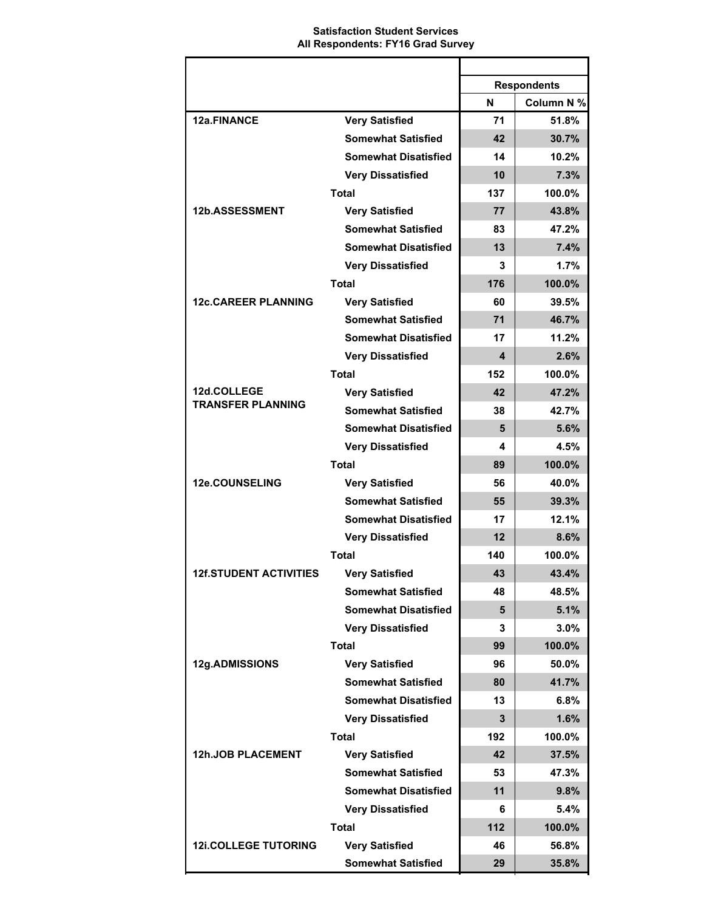### **Satisfaction Student Services All Respondents: FY16 Grad Survey**

|                               |                             |     | <b>Respondents</b> |
|-------------------------------|-----------------------------|-----|--------------------|
|                               |                             | N   | Column N %         |
| 12a.FINANCE                   | <b>Very Satisfied</b>       | 71  | 51.8%              |
|                               | <b>Somewhat Satisfied</b>   | 42  | 30.7%              |
|                               | <b>Somewhat Disatisfied</b> | 14  | 10.2%              |
|                               | <b>Very Dissatisfied</b>    | 10  | 7.3%               |
|                               | <b>Total</b>                | 137 | 100.0%             |
| 12b.ASSESSMENT                | <b>Very Satisfied</b>       | 77  | 43.8%              |
|                               | <b>Somewhat Satisfied</b>   | 83  | 47.2%              |
|                               | <b>Somewhat Disatisfied</b> | 13  | 7.4%               |
|                               | <b>Very Dissatisfied</b>    | 3   | 1.7%               |
|                               | <b>Total</b>                | 176 | 100.0%             |
| <b>12c.CAREER PLANNING</b>    | <b>Very Satisfied</b>       | 60  | 39.5%              |
|                               | <b>Somewhat Satisfied</b>   | 71  | 46.7%              |
|                               | <b>Somewhat Disatisfied</b> | 17  | 11.2%              |
|                               | <b>Very Dissatisfied</b>    | 4   | 2.6%               |
|                               | <b>Total</b>                | 152 | 100.0%             |
| 12d.COLLEGE                   | <b>Very Satisfied</b>       | 42  | 47.2%              |
| <b>TRANSFER PLANNING</b>      | <b>Somewhat Satisfied</b>   | 38  | 42.7%              |
|                               | <b>Somewhat Disatisfied</b> | 5   | 5.6%               |
|                               | <b>Very Dissatisfied</b>    | 4   | 4.5%               |
|                               | <b>Total</b>                | 89  | 100.0%             |
| 12e.COUNSELING                | <b>Very Satisfied</b>       | 56  | 40.0%              |
|                               | <b>Somewhat Satisfied</b>   | 55  | 39.3%              |
|                               | <b>Somewhat Disatisfied</b> | 17  | 12.1%              |
|                               | <b>Very Dissatisfied</b>    | 12  | 8.6%               |
|                               | <b>Total</b>                | 140 | 100.0%             |
| <b>12f.STUDENT ACTIVITIES</b> | Verv Satisfied              | 43  | 43.4%              |
|                               | <b>Somewhat Satisfied</b>   | 48  | 48.5%              |
|                               | <b>Somewhat Disatisfied</b> | 5   | 5.1%               |
|                               | <b>Very Dissatisfied</b>    | 3   | 3.0%               |
|                               | <b>Total</b>                | 99  | 100.0%             |
| 12g.ADMISSIONS                | <b>Very Satisfied</b>       | 96  | 50.0%              |
|                               | <b>Somewhat Satisfied</b>   | 80  | 41.7%              |
|                               | <b>Somewhat Disatisfied</b> | 13  | 6.8%               |
|                               | <b>Very Dissatisfied</b>    | 3   | 1.6%               |
|                               | <b>Total</b>                | 192 | 100.0%             |
| <b>12h.JOB PLACEMENT</b>      | <b>Very Satisfied</b>       | 42  | 37.5%              |
|                               | <b>Somewhat Satisfied</b>   | 53  | 47.3%              |
|                               | <b>Somewhat Disatisfied</b> | 11  | 9.8%               |
|                               | <b>Very Dissatisfied</b>    | 6   | 5.4%               |
|                               | <b>Total</b>                | 112 | 100.0%             |
| <b>12i.COLLEGE TUTORING</b>   | <b>Very Satisfied</b>       | 46  | 56.8%              |
|                               | <b>Somewhat Satisfied</b>   | 29  | 35.8%              |
|                               |                             |     |                    |